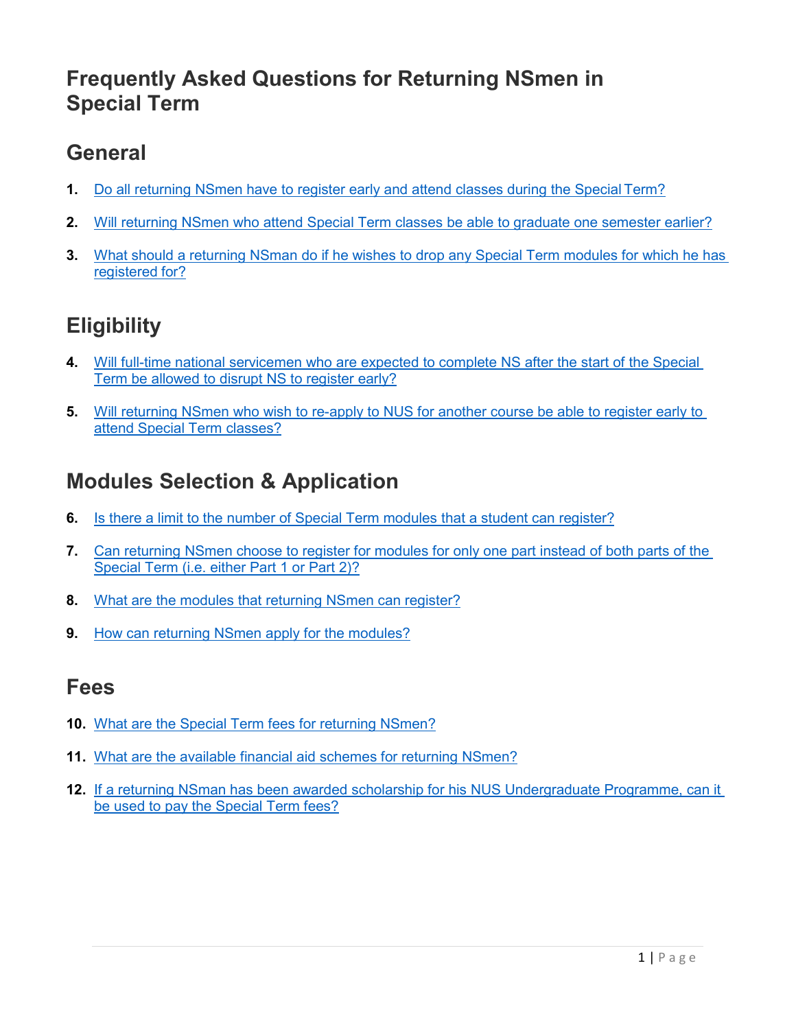### <span id="page-0-0"></span>**Frequently Asked Questions for Returning NSmen in Special Term**

### **General**

- **1.** [Do all returning NSmen have to register early and attend classes during the Special](#page-1-0) Term?
- **2.** [Will returning NSmen who attend Special Term classes be able to graduate one semester earlier?](#page-1-1)
- **3.** [What should a returning NSman do if he wishes to drop any Special Term modules for which he has](#page-1-2)  [registered](#page-1-2) for?

# **Eligibility**

- **4.** [Will full-time national servicemen who are expected to complete NS after the start of the Special](#page-1-3)  [Term be allowed to disrupt NS to register early?](#page-1-3)
- **5.** [Will returning NSmen who wish to re-apply to NUS for another course be able to register early to](#page-1-4)  [attend Special Term classes?](#page-1-4)

## **Modules Selection & Application**

- **6.** [Is there a limit to the number of Special Term modules](#page-2-0) that a student can register?
- **7.** [Can returning NSmen choose to register for modules for only one part instead of both parts](#page-2-1) of the [Special Term \(i.e. either Part 1](#page-2-1) or Part 2)?
- **8.** [What are the modules that returning NSmen can register?](#page-2-2)
- **9.** [How can returning NSmen apply](#page-2-3) for the modules?

### **Fees**

- **10.** [What are the Special Term fees for returning NSmen?](#page-2-4)
- **11.** [What are the available financial aid schemes for returning NSmen?](#page-2-5)
- **12.** [If a returning NSman has been awarded scholarship for his NUS Undergraduate Programme, can it](#page-2-6)  [be used to pay the Special Term fees?](#page-2-6)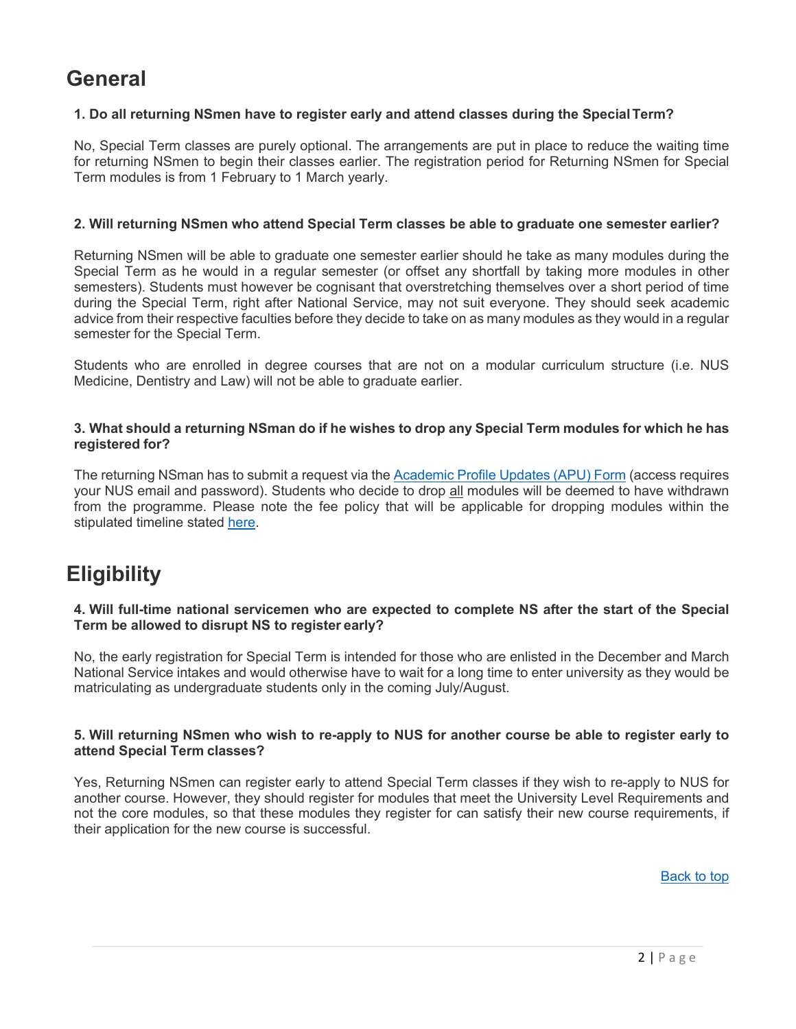### **General**

#### <span id="page-1-0"></span>**1. Do all returning NSmen have to register early and attend classes during the SpecialTerm?**

No, Special Term classes are purely optional. The arrangements are put in place to reduce the waiting time for returning NSmen to begin their classes earlier. The registration period for Returning NSmen for Special Term modules is from 1 February to 1 March yearly.

#### <span id="page-1-1"></span>**2. Will returning NSmen who attend Special Term classes be able to graduate one semester earlier?**

Returning NSmen will be able to graduate one semester earlier should he take as many modules during the Special Term as he would in a regular semester (or offset any shortfall by taking more modules in other semesters). Students must however be cognisant that overstretching themselves over a short period of time during the Special Term, right after National Service, may not suit everyone. They should seek academic advice from their respective faculties before they decide to take on as many modules as they would in a regular semester for the Special Term.

Students who are enrolled in degree courses that are not on a modular curriculum structure (i.e. NUS Medicine, Dentistry and Law) will not be able to graduate earlier.

#### <span id="page-1-2"></span>**3. What should a returning NSman do if he wishes to drop any Special Term modules for which he has registered for?**

The returning NSman has to submit a request via the [Academic Profile Updates \(APU\) Form](https://forms.office.com/Pages/ResponsePage.aspx?id=Xu-lWwkxd06Fvc_rDTR-gkItly0vqf9Il1UQkERFkBdUMFlHSk5KOUNZWVJDUDkyNVgzVTBHU0RaSSQlQCN0PWcu) (access requires your NUS email and password). Students who decide to drop all modules will be deemed to have withdrawn from the programme. Please note the fee policy that will be applicable for dropping modules within the stipulated timeline stated [here.](http://www.nus.edu.sg/registrar/academic-activities/special-term)

### **Eligibility**

#### <span id="page-1-3"></span>**4. Will full-time national servicemen who are expected to complete NS after the start of the Special Term be allowed to disrupt NS to register early?**

No, the early registration for Special Term is intended for those who are enlisted in the December and March National Service intakes and would otherwise have to wait for a long time to enter university as they would be matriculating as undergraduate students only in the coming July/August.

#### <span id="page-1-4"></span>**5. Will returning NSmen who wish to re-apply to NUS for another course be able to register early to attend Special Term classes?**

Yes, Returning NSmen can register early to attend Special Term classes if they wish to re-apply to NUS for another course. However, they should register for modules that meet the University Level Requirements and not the core modules, so that these modules they register for can satisfy their new course requirements, if their application for the new course is successful.

[Back to top](#page-0-0)